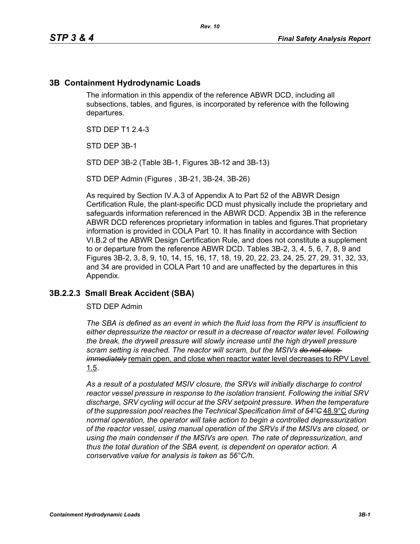## **3B Containment Hydrodynamic Loads**

The information in this appendix of the reference ABWR DCD, including all subsections, tables, and figures, is incorporated by reference with the following departures.

STD DFP T1 2 4-3

STD DEP 3B-1

STD DEP 3B-2 (Table 3B-1, Figures 3B-12 and 3B-13)

STD DEP Admin (Figures , 3B-21, 3B-24, 3B-26)

As required by Section IV.A.3 of Appendix A to Part 52 of the ABWR Design Certification Rule, the plant-specific DCD must physically include the proprietary and safeguards information referenced in the ABWR DCD. Appendix 3B in the reference ABWR DCD references proprietary information in tables and figures.That proprietary information is provided in COLA Part 10. It has finality in accordance with Section VI.B.2 of the ABWR Design Certification Rule, and does not constitute a supplement to or departure from the reference ABWR DCD. Tables 3B-2, 3, 4, 5, 6, 7, 8, 9 and Figures 3B-2, 3, 8, 9, 10, 14, 15, 16, 17, 18, 19, 20, 22, 23, 24, 25, 27, 29, 31, 32, 33, and 34 are provided in COLA Part 10 and are unaffected by the departures in this Appendix.

#### **3B.2.2.3 Small Break Accident (SBA)**

STD DEP Admin

*The SBA is defined as an event in which the fluid loss from the RPV is insufficient to either depressurize the reactor or result in a decrease of reactor water level. Following the break, the drywell pressure will slowly increase until the high drywell pressure scram setting is reached. The reactor will scram, but the MSIVs do not close immediately* remain open, and close when reactor water level decreases to RPV Level 1.5.

*As a result of a postulated MSIV closure, the SRVs will initially discharge to control reactor vessel pressure in response to the isolation transient. Following the initial SRV discharge, SRV cycling will occur at the SRV setpoint pressure. When the temperature of the suppression pool reaches the Technical Specification limit of 54°C* 48.9°C *during normal operation, the operator will take action to begin a controlled depressurization of the reactor vessel, using manual operation of the SRVs if the MSIVs are closed, or using the main condenser if the MSIVs are open. The rate of depressurization, and thus the total duration of the SBA event, is dependent on operator action. A conservative value for analysis is taken as 56°C/h.*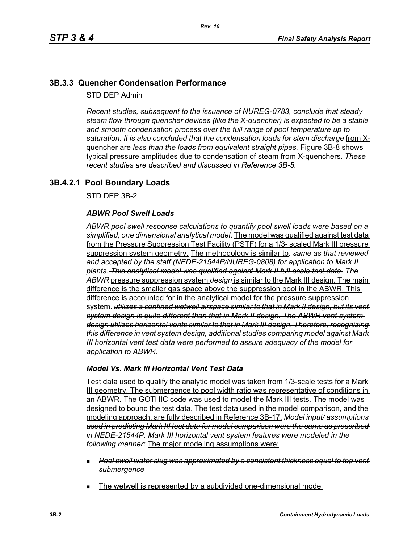# **3B.3.3 Quencher Condensation Performance**

STD DEP Admin

*Recent studies, subsequent to the issuance of NUREG-0783, conclude that steady steam flow through quencher devices (like the X-quencher) is expected to be a stable and smooth condensation process over the full range of pool temperature up to saturation. It is also concluded that the condensation loads for stem discharge* from Xquencher are *less than the loads from equivalent straight pipes.* Figure 3B-8 shows typical pressure amplitudes due to condensation of steam from X-quenchers. *These recent studies are described and discussed in Reference 3B-5.*

## **3B.4.2.1 Pool Boundary Loads**

STD DEP 3B-2

#### *ABWR Pool Swell Loads*

*ABWR pool swell response calculations to quantify pool swell loads were based on a simplified, one dimensional analytical model*. The model was qualified against test data from the Pressure Suppression Test Facility (PSTF) for a 1/3- scaled Mark III pressure suppression system geometry. The methodology is similar to*, same as that reviewed and accepted by the staff (NEDE-21544P/NUREG-0808) for application to Mark II plants*. *This analytical model was qualified against Mark II full-scale test data*. *The ABWR* pressure suppression system *design* is similar to the Mark III design. The main difference is the smaller gas space above the suppression pool in the ABWR. This difference is accounted for in the analytical model for the pressure suppression system. *utilizes a confined wetwell airspace similar to that in Mark II design, but its vent system design is quite different than that in Mark II design. The ABWR vent system design utilizes horizontal vents similar to that in Mark III design. Therefore, recognizing this difference in vent system design, additional studies comparing model against Mark III horizontal vent test data were performed to assure adequacy of the model for application to ABWR.*

#### *Model Vs. Mark III Horizontal Vent Test Data*

Test data used to qualify the analytic model was taken from 1/3-scale tests for a Mark III geometry. The submergence to pool width ratio was representative of conditions in an ABWR. The GOTHIC code was used to model the Mark III tests. The model was designed to bound the test data. The test data used in the model comparison, and the modeling approach, are fully described in Reference 3B-17. *Model input/ assumptions used in predicting Mark III test data for model comparison were the same as prescribed in NEDE-21544P. Mark III horizontal vent system features were modeled in the following manner:* The major modeling assumptions were:

- *Pool swell water slug was approximated by a consistent thickness equal to top vent submergence*
- The wetwell is represented by a subdivided one-dimensional model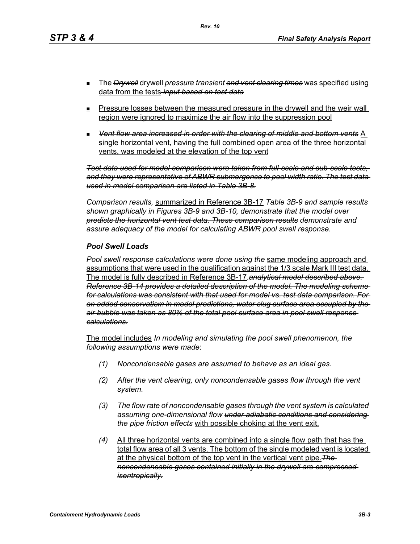- The *Drywell* drywell *pressure transient and vent clearing times* was specified using data from the tests *input based on test data*
- **Pressure losses between the measured pressure in the drywell and the weir wall** region were ignored to maximize the air flow into the suppression pool
- *Vent flow area increased in order with the clearing of middle and bottom vents* A single horizontal vent, having the full combined open area of the three horizontal vents, was modeled at the elevation of the top vent

*Test data used for model comparison were taken from full-scale and sub-scale tests, and they were representative of ABWR submergence to pool width ratio. The test data used in model comparison are listed in Table 3B-8.*

*Comparison results,* summarized in Reference 3B-17 *Table 3B-9 and sample results shown graphically in Figures 3B-9 and 3B-10, demonstrate that the model over predicts the horizontal vent test data. These comparison results demonstrate and assure adequacy of the model for calculating ABWR pool swell response.*

#### *Pool Swell Loads*

*Pool swell response calculations were done using the* same modeling approach and assumptions that were used in the qualification against the 1/3 scale Mark III test data. The model is fully described in Reference 3B-17.*analytical model described above. Reference 3B-14 provides a detailed description of the model. The modeling scheme for calculations was consistent with that used for model vs. test data comparison. For an added conservatism in model predictions, water slug surface area occupied by the air bubble was taken as 80% of the total pool surface area in pool swell response calculations.*

The model includes *In modeling and simulating the pool swell phenomenon, the following assumptions were made*:

- *(1) Noncondensable gases are assumed to behave as an ideal gas.*
- *(2) After the vent clearing, only noncondensable gases flow through the vent system.*
- *(3) The flow rate of noncondensable gases through the vent system is calculated assuming one-dimensional flow under adiabatic conditions and considering the pipe friction effects* with possible choking at the vent exit.
- *(4)* All three horizontal vents are combined into a single flow path that has the total flow area of all 3 vents. The bottom of the single modeled vent is located at the physical bottom of the top vent in the vertical vent pipe.*The noncondensable gases contained initially in the drywell are compressed isentropically.*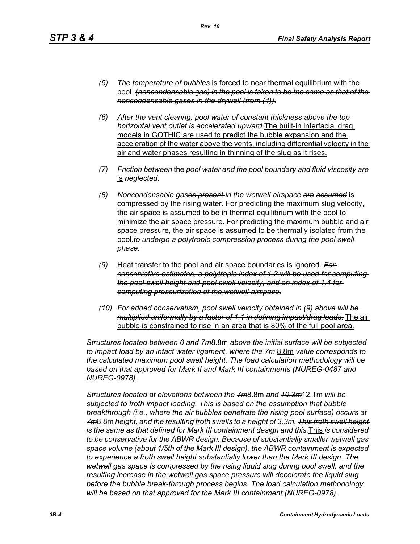- *(5) The temperature of bubbles* is forced to near thermal equilibrium with the pool. *(noncondensable gas) in the pool is taken to be the same as that of the noncondensable gases in the drywell (from (4)).*
- *(6) After the vent clearing, pool water of constant thickness above the top horizontal vent outlet is accelerated upward.*The built-in interfacial drag models in GOTHIC are used to predict the bubble expansion and the acceleration of the water above the vents, including differential velocity in the air and water phases resulting in thinning of the slug as it rises.
- *(7) Friction between* the *pool water and the pool boundary and fluid viscosity are* is *neglected.*
- *(8) Noncondensable gases present in the wetwell airspace are assumed* is compressed by the rising water. For predicting the maximum slug velocity, the air space is assumed to be in thermal equilibrium with the pool to minimize the air space pressure. For predicting the maximum bubble and air space pressure, the air space is assumed to be thermally isolated from the pool.to undergo a polytropic compression process during the pool swell *phase.*
- *(9)* Heat transfer to the pool and air space boundaries is ignored*. For conservative estimates, a polytropic index of 1.2 will be used for computing the pool swell height and pool swell velocity, and an index of 1.4 for computing pressurization of the wetwell airspace.*
- *(10) For added conservatism, pool swell velocity obtained in (9) above will be multiplied uniformally by a factor of 1.1 in defining impact/drag loads.* The air bubble is constrained to rise in an area that is 80% of the full pool area.

*Structures located between 0 and 7m*8.8m *above the initial surface will be subjected to impact load by an intact water ligament, where the 7m* 8.8m *value corresponds to the calculated maximum pool swell height. The load calculation methodology will be based on that approved for Mark II and Mark III containments (NUREG-0487 and NUREG-0978).*

*Structures located at elevations between the 7m*8.8m *and 10.3m*12.1m *will be subjected to froth impact loading. This is based on the assumption that bubble breakthrough (i.e., where the air bubbles penetrate the rising pool surface) occurs at 7m*8.8m *height, and the resulting froth swells to a height of 3.3m. This froth swell height is the same as that defined for Mark III containment design and this.*This *is considered to be conservative for the ABWR design. Because of substantially smaller wetwell gas space volume (about 1/5th of the Mark III design), the ABWR containment is expected to experience a froth swell height substantially lower than the Mark III design. The wetwell gas space is compressed by the rising liquid slug during pool swell, and the resulting increase in the wetwell gas space pressure will decelerate the liquid slug before the bubble break-through process begins. The load calculation methodology will be based on that approved for the Mark III containment (NUREG-0978).*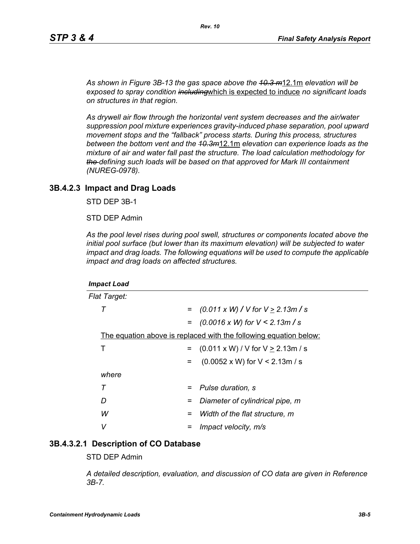*As shown in Figure 3B-13 the gas space above the 10.3 m*12.1m *elevation will be exposed to spray condition including*which is expected to induce *no significant loads on structures in that region.* 

*As drywell air flow through the horizontal vent system decreases and the air/water suppression pool mixture experiences gravity-induced phase separation, pool upward movement stops and the "fallback" process starts. During this process, structures between the bottom vent and the 10.3m*12.1m *elevation can experience loads as the mixture of air and water fall past the structure. The load calculation methodology for the defining such loads will be based on that approved for Mark III containment (NUREG-0978).*

#### **3B.4.2.3 Impact and Drag Loads**

STD DEP 3B-1

STD DEP Admin

*As the pool level rises during pool swell, structures or components located above the initial pool surface (but lower than its maximum elevation) will be subjected to water impact and drag loads. The following equations will be used to compute the applicable impact and drag loads on affected structures.*

| <b>Impact Load</b>                                                |                                               |
|-------------------------------------------------------------------|-----------------------------------------------|
| <b>Flat Target:</b>                                               |                                               |
| т<br>$=$                                                          | $(0.011 \times W)$ / V for V $\geq$ 2.13m / s |
|                                                                   | $=$ (0.0016 x W) for V < 2.13m / s            |
| The equation above is replaced with the following equation below: |                                               |
| Т<br>$=$                                                          | $(0.011 \times W) / V$ for $V \ge 2.13$ m / s |
| $=$                                                               | $(0.0052 \times W)$ for V < 2.13m / s         |
| where                                                             |                                               |
| Τ<br>$=$                                                          | Pulse duration, s                             |
| D<br>=                                                            | Diameter of cylindrical pipe, m               |
| W<br>=                                                            | Width of the flat structure, m                |
| v                                                                 | Impact velocity, m/s                          |

#### **3B.4.3.2.1 Description of CO Database**

STD DEP Admin

*A detailed description, evaluation, and discussion of CO data are given in Reference 3B-7.*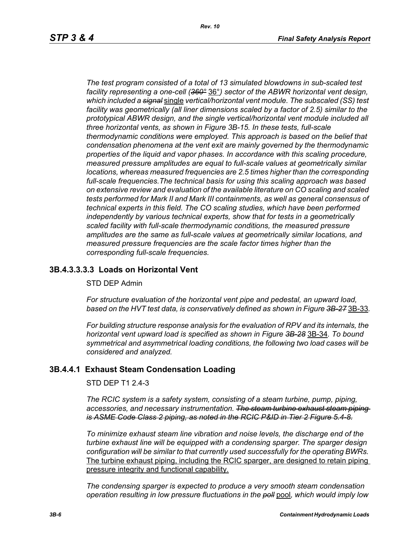*The test program consisted of a total of 13 simulated blowdowns in sub-scaled test facility representing a one-cell (360°* 36°*) sector of the ABWR horizontal vent design, which included a signal* single *vertical/horizontal vent module. The subscaled (SS) test facility was geometrically (all liner dimensions scaled by a factor of 2.5) similar to the prototypical ABWR design, and the single vertical/horizontal vent module included all three horizontal vents, as shown in Figure 3B-15. In these tests, full-scale thermodynamic conditions were employed. This approach is based on the belief that condensation phenomena at the vent exit are mainly governed by the thermodynamic properties of the liquid and vapor phases. In accordance with this scaling procedure, measured pressure amplitudes are equal to full-scale values at geometrically similar locations, whereas measured frequencies are 2.5 times higher than the corresponding full-scale frequencies.The technical basis for using this scaling approach was based on extensive review and evaluation of the available literature on CO scaling and scaled tests performed for Mark II and Mark III containments, as well as general consensus of technical experts in this field. The CO scaling studies, which have been performed independently by various technical experts, show that for tests in a geometrically scaled facility with full-scale thermodynamic conditions, the measured pressure amplitudes are the same as full-scale values at geometrically similar locations, and measured pressure frequencies are the scale factor times higher than the corresponding full-scale frequencies.*

## **3B.4.3.3.3.3 Loads on Horizontal Vent**

#### STD DEP Admin

*For structure evaluation of the horizontal vent pipe and pedestal, an upward load, based on the HVT test data, is conservatively defined as shown in Figure 3B-27* 3B-33*.*

*For building structure response analysis for the evaluation of RPV and its internals, the horizontal vent upward load is specified as shown in Figure 3B-28* 3B-34*. To bound symmetrical and asymmetrical loading conditions, the following two load cases will be considered and analyzed.*

## **3B.4.4.1 Exhaust Steam Condensation Loading**

STD DEP T1 2.4-3

*The RCIC system is a safety system, consisting of a steam turbine, pump, piping, accessories, and necessary instrumentation. The steam turbine exhaust steam piping is ASME Code Class 2 piping, as noted in the RCIC P&ID in Tier 2 Figure 5.4-8.*

*To minimize exhaust steam line vibration and noise levels, the discharge end of the turbine exhaust line will be equipped with a condensing sparger. The sparger design configuration will be similar to that currently used successfully for the operating BWRs.* The turbine exhaust piping, including the RCIC sparger, are designed to retain piping pressure integrity and functional capability.

*The condensing sparger is expected to produce a very smooth steam condensation operation resulting in low pressure fluctuations in the poll* pool*, which would imply low*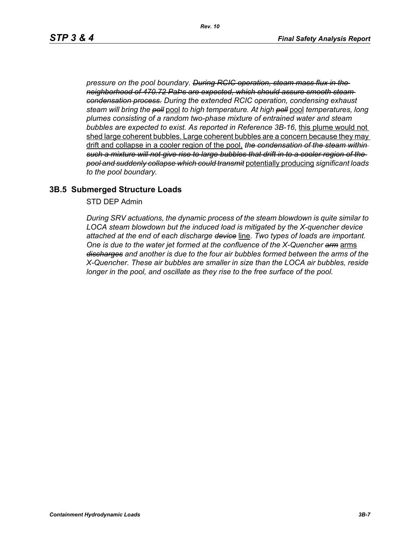*pressure on the pool boundary. During RCIC operation, steam mass flux in the neighborhood of 470.72 PaÞs are expected, which should assure smooth steam condensation process. During the extended RCIC operation, condensing exhaust steam will bring the poll* pool *to high temperature. At high poll* pool *temperatures, long plumes consisting of a random two-phase mixture of entrained water and steam bubbles are expected to exist. As reported in Reference 3B-16*, this plume would not shed large coherent bubbles. Large coherent bubbles are a concern because they may drift and collapse in a cooler region of the pool, *the condensation of the steam within such a mixture will not give rise to large bubbles that drift in to a cooler region of the pool and suddenly collapse which could transmit* potentially producing *significant loads to the pool boundary.*

### **3B.5 Submerged Structure Loads**

STD DEP Admin

*During SRV actuations, the dynamic process of the steam blowdown is quite similar to LOCA steam blowdown but the induced load is mitigated by the X-quencher device attached at the end of each discharge device* line. *Two types of loads are important. One is due to the water jet formed at the confluence of the X-Quencher arm* arms *discharges and another is due to the four air bubbles formed between the arms of the X-Quencher. These air bubbles are smaller in size than the LOCA air bubbles, reside longer in the pool, and oscillate as they rise to the free surface of the pool.*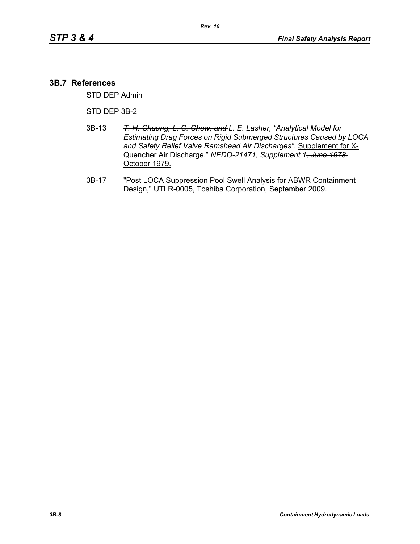#### **3B.7 References**

STD DEP Admin

STD DEP 3B-2

- 3B-13 *T. H. Chuang, L. C. Chow, and L. E. Lasher, "Analytical Model for Estimating Drag Forces on Rigid Submerged Structures Caused by LOCA and Safety Relief Valve Ramshead Air Discharges"*, Supplement for X-Quencher Air Discharge," *NEDO-21471, Supplement 1, June 1978.* October 1979.
- 3B-17 "Post LOCA Suppression Pool Swell Analysis for ABWR Containment Design," UTLR-0005, Toshiba Corporation, September 2009.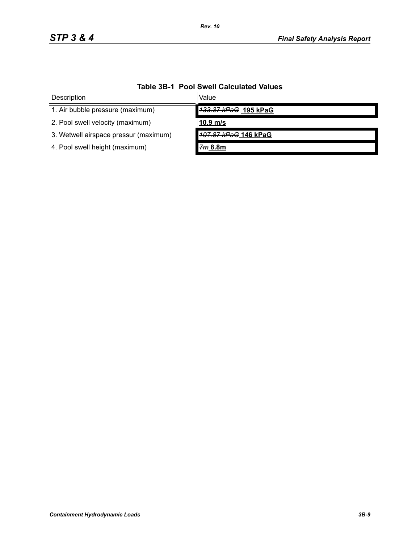| IUDIO OD I I OOI ONGII OUIOUIULOU TUIUOO |                      |  |
|------------------------------------------|----------------------|--|
| Description                              | Value                |  |
| 1. Air bubble pressure (maximum)         | 133.37 kPaG 195 kPaG |  |
| 2. Pool swell velocity (maximum)         | $10.9$ m/s           |  |
| 3. Wetwell airspace pressur (maximum)    | 107.87 kPaG 146 kPaG |  |
| 4. Pool swell height (maximum)           | 7m 8.8m              |  |

# **Table 3B-1 Pool Swell Calculated Values**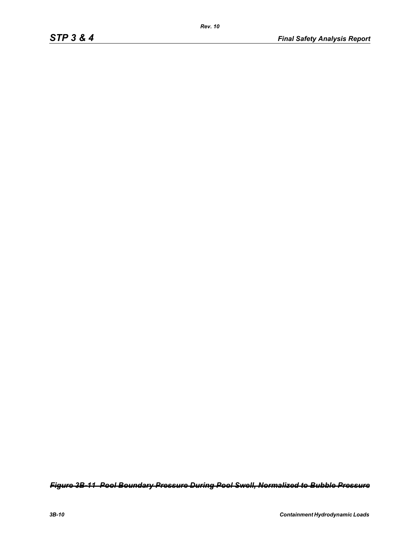*Figure 3B-11 Pool Boundary Pressure During Pool Swell, Normalized to Bubble Pressure*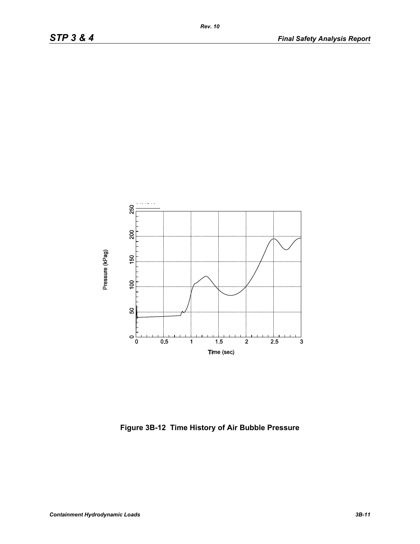

**Figure 3B-12 Time History of Air Bubble Pressure**

*Rev. 10*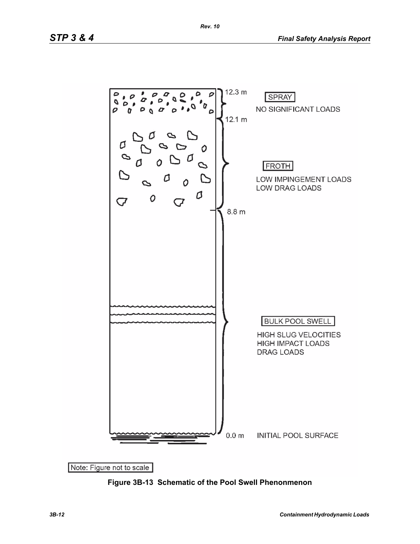

**Figure 3B-13 Schematic of the Pool Swell Phenonmenon**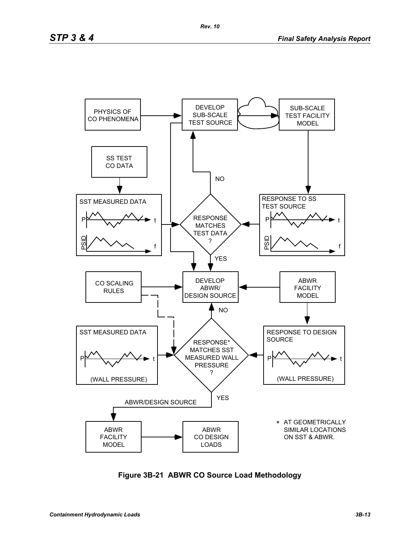

**Figure 3B-21 ABWR CO Source Load Methodology**